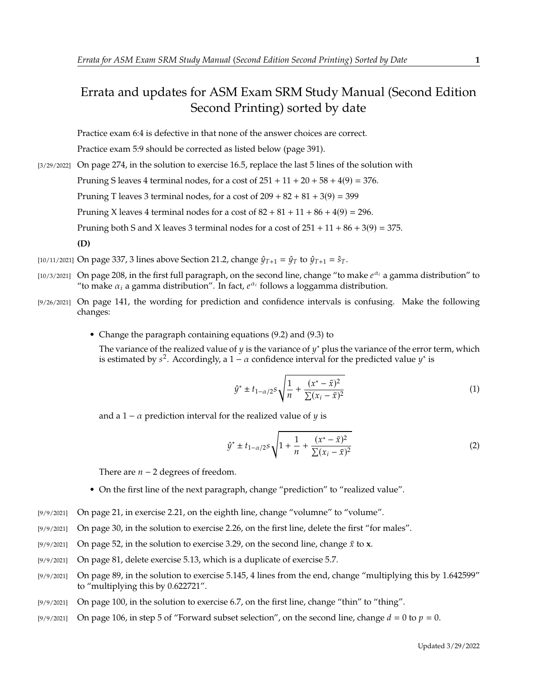## Errata and updates for ASM Exam SRM Study Manual (Second Edition Second Printing) sorted by date

Practice exam 6:4 is defective in that none of the answer choices are correct.

Practice exam 5:9 should be corrected as listed below (page 391).

- [3/29/2022] On page 274, in the solution to exercise 16.5, replace the last 5 lines of the solution with Pruning S leaves 4 terminal nodes, for a cost of  $251 + 11 + 20 + 58 + 4(9) = 376$ . Pruning T leaves 3 terminal nodes, for a cost of  $209 + 82 + 81 + 3(9) = 399$ Pruning X leaves 4 terminal nodes for a cost of  $82 + 81 + 11 + 86 + 4(9) = 296$ . Pruning both S and X leaves 3 terminal nodes for a cost of  $251 + 11 + 86 + 3(9) = 375$ . **(D)**
- [10/11/2021] On page 337, 3 lines above Section 21.2, change  $\hat{\psi}_{T+1} = \hat{\psi}_T$  to  $\hat{\psi}_{T+1} = \hat{s}_T$ .
- [10/3/2021] On page 208, in the first full paragraph, on the second line, change "to make  $e^{\alpha_i}$  a gamma distribution" to "to make  $\alpha_i$  a gamma distribution". In fact  $e^{\alpha_i}$  follows a loggamma distribution "to make  $\alpha_i$  a gamma distribution". In fact,  $e^{\alpha_i}$  follows a loggamma distribution.
- [9/26/2021] On page 141, the wording for prediction and confidence intervals is confusing. Make the following changes:
	- Change the paragraph containing equations (9.2) and (9.3) to

The variance of the realized value of y is the variance of y<sup>\*</sup> plus the variance of the error term, which is estimated by  $s^2$ . Accordingly a  $1 - \alpha$  confidence interval for the predicted value  $y^*$  is is estimated by  $s^2$ . Accordingly, a  $1 - \alpha$  confidence interval for the predicted value  $y^*$  is

$$
\hat{y}^* \pm t_{1-\alpha/2} s \sqrt{\frac{1}{n} + \frac{(x^* - \bar{x})^2}{\sum (x_i - \bar{x})^2}}
$$
(1)

and a 1 –  $\alpha$  prediction interval for the realized value of  $y$  is

$$
\hat{y}^* \pm t_{1-\alpha/2} s \sqrt{1 + \frac{1}{n} + \frac{(x^* - \bar{x})^2}{\sum (x_i - \bar{x})^2}}
$$
(2)

There are  $n - 2$  degrees of freedom.

- On the first line of the next paragraph, change "prediction" to "realized value".
- [9/9/2021] On page 21, in exercise 2.21, on the eighth line, change "volumne" to "volume".
- [9/9/2021] On page 30, in the solution to exercise 2.26, on the first line, delete the first "for males".
- [9/9/2021] On page 52, in the solution to exercise 3.29, on the second line, change  $\bar{x}$  to **x**.
- [9/9/2021] On page 81, delete exercise 5.13, which is a duplicate of exercise 5.7.
- [9/9/2021] On page 89, in the solution to exercise 5.145, 4 lines from the end, change "multiplying this by 1.642599" to "multiplying this by 0.622721".
- [9/9/2021] On page 100, in the solution to exercise 6.7, on the first line, change "thin" to "thing".
- [9/9/2021] On page 106, in step 5 of "Forward subset selection", on the second line, change  $d = 0$  to  $p = 0$ .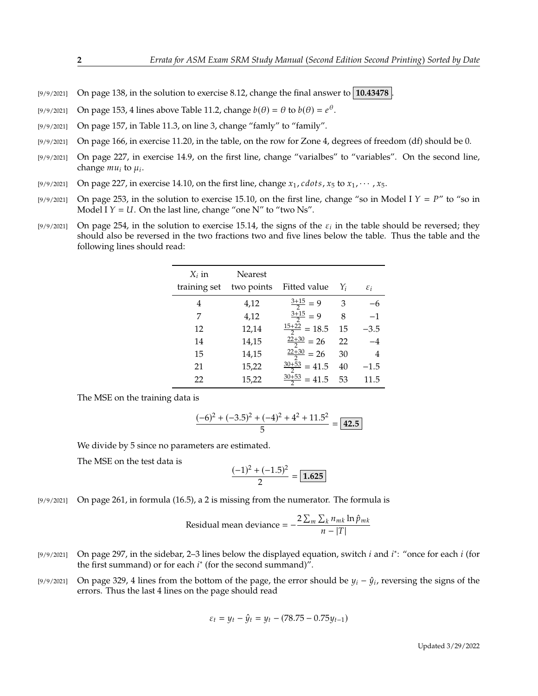- [9/9/2021] On page 138, in the solution to exercise 8.12, change the final answer to **10.43478** .
- [9/9/2021] On page 153, 4 lines above Table 11.2, change  $b(\theta) = \theta$  to  $b(\theta) = e^{\theta}$ .
- [9/9/2021] On page 157, in Table 11.3, on line 3, change "famly" to "family".
- [9/9/2021] On page 166, in exercise 11.20, in the table, on the row for Zone 4, degrees of freedom (df) should be 0.
- [9/9/2021] On page 227, in exercise 14.9, on the first line, change "varialbes" to "variables". On the second line, change  $mu_i$  to  $\mu_i$ .
- [9/9/2021] On page 227, in exercise 14.10, on the first line, change  $x_1$ , cdots,  $x_5$  to  $x_1$ ,  $\cdots$ ,  $x_5$ .
- [9/9/2021] On page 253, in the solution to exercise 15.10, on the first line, change "so in Model I  $Y = P$ " to "so in Model I  $Y = U$ . On the last line, change "one N" to "two Ns".
- [9/9/2021] On page 254, in the solution to exercise 15.14, the signs of the  $\varepsilon_i$  in the table should be reversed; they should also be reversed in the two fractions two and five lines below the table. Thus the table and should also be reversed in the two fractions two and five lines below the table. Thus the table and the following lines should read:

| Nearest    |                          |                                                |                 |
|------------|--------------------------|------------------------------------------------|-----------------|
| two points | Fitted value             | Yi                                             | $\varepsilon_i$ |
| 4,12       | $\frac{3+15}{2} = 9$     | 3                                              |                 |
| 4,12       |                          | 8                                              | $-1$            |
| 12,14      | $\frac{15+22}{2} = 18.5$ | 15                                             | $-3.5$          |
| 14,15      |                          | 22                                             | $-4$            |
| 14,15      | $\frac{22+30}{2}$ = 26   | 30                                             | 4               |
| 15,22      | $\frac{30+53}{2}$ = 41.5 | 40                                             | $-1.5$          |
| 15,22      | $\frac{30+53}{2}$ = 41.5 | 53                                             | 11.5            |
|            |                          | $\frac{3+15}{2} = 9$<br>$\frac{22+30}{2}$ = 26 |                 |

The MSE on the training data is

$$
\frac{(-6)^2 + (-3.5)^2 + (-4)^2 + 4^2 + 11.5^2}{5} = \boxed{42.5}
$$

We divide by 5 since no parameters are estimated.

The MSE on the test data is

$$
\frac{(-1)^2 + (-1.5)^2}{2} = 1.625
$$

[9/9/2021] On page 261, in formula (16.5), a 2 is missing from the numerator. The formula is

Residual mean deviance = 
$$
-\frac{2\sum_{m}\sum_{k}n_{mk}\ln\hat{p}_{mk}}{n-|T|}
$$

- [9/9/2021] On page 297, in the sidebar, 2–3 lines below the displayed equation, switch *i* and *i*<sup>\*</sup>: "once for each *i* (for the first summand) or for each *i*<sup>\*</sup> (for the second summand)" the first summand) or for each  $i^*$  (for the second summand)".
- [9/9/2021] On page 329, 4 lines from the bottom of the page, the error should be  $y_i \hat{y}_i$ , reversing the signs of the errors. Thus the last 4 lines on the page should read errors. Thus the last 4 lines on the page should read

$$
\varepsilon_t = y_t - \hat{y}_t = y_t - (78.75 - 0.75y_{t-1})
$$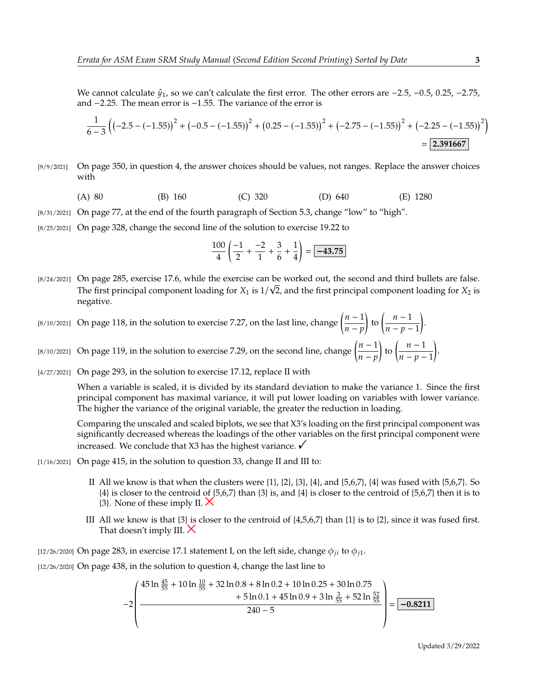We cannot calculate  $\hat{y}_1$ , so we can't calculate the first error. The other errors are  $-2.5$ ,  $-0.5$ , 0.25,  $-2.75$ , and <sup>−</sup>2.25. The mean error is <sup>−</sup>1.55. The variance of the error is

$$
\frac{1}{6-3}\left(\left(-2.5 - (-1.55)\right)^2 + \left(-0.5 - (-1.55)\right)^2 + \left(0.25 - (-1.55)\right)^2 + \left(-2.75 - (-1.55)\right)^2 + \left(-2.25 - (-1.55)\right)^2\right)
$$
\n
$$
= 2.391667
$$

- [9/9/2021] On page 350, in question 4, the answer choices should be values, not ranges. Replace the answer choices with
	- (A) 80 (B) 160 (C) 320 (D) 640 (E) 1280
- [8/31/2021] On page 77, at the end of the fourth paragraph of Section 5.3, change "low" to "high".
- [8/25/2021] On page 328, change the second line of the solution to exercise 19.22 to

$$
\frac{100}{4} \left( \frac{-1}{2} + \frac{-2}{1} + \frac{3}{6} + \frac{1}{4} \right) = \boxed{-43.75}
$$

- [8/24/2021] On page 285, exercise 17.6, while the exercise can be worked out, the second and third bullets are false. √ The first principal component loading for  $X_1$  is  $1/\sqrt{2}$ , and the first principal component loading for  $X_2$  is negative negative.
- [8/10/2021] On page 118, in the solution to exercise 7.27, on the last line, change  $\left(\frac{n-1}{n}\right)$  $\frac{n-p}{p}$ to  $\left(\frac{n-1}{n}\right)$  $\frac{n-p-1}{p-1}$ .
- [8/10/2021] On page 119, in the solution to exercise 7.29, on the second line, change  $\left(\frac{n-1}{n}\right)$  $\frac{n-p}{p}$ to  $\left(\frac{n-1}{n}\right)$  $\overline{n-p-1}$ .
- [4/27/2021] On page 293, in the solution to exercise 17.12, replace II with

When a variable is scaled, it is divided by its standard deviation to make the variance 1. Since the first principal component has maximal variance, it will put lower loading on variables with lower variance. The higher the variance of the original variable, the greater the reduction in loading.

Comparing the unscaled and scaled biplots, we see that X3's loading on the first principal component was significantly decreased whereas the loadings of the other variables on the first principal component were increased. We conclude that X3 has the highest variance.  $\checkmark$ 

- [1/16/2021] On page 415, in the solution to question 33, change II and III to:
	- II All we know is that when the clusters were  $\{1\}$ ,  $\{2\}$ ,  $\{3\}$ ,  $\{4\}$ , and  $\{5,6,7\}$ ,  $\{4\}$  was fused with  $\{5,6,7\}$ . So {4} is closer to the centroid of {5,6,7} than {3} is, and {4} is closer to the centroid of {5,6,7} then it is to  $\{3\}$ . None of these imply II.  $\times$
	- III All we know is that  $\{3\}$  is closer to the centroid of  $\{4,5,6,7\}$  than  $\{1\}$  is to  $\{2\}$ , since it was fused first. That doesn't imply III.  $\times$

[12/26/2020] On page 283, in exercise 17.1 statement I, on the left side, change  $\phi_{ii}$  to  $\phi_{i1}$ .

[12/26/2020] On page 438, in the solution to question 4, change the last line to

«

$$
-2\left(\frac{45\ln\frac{45}{55}+10\ln\frac{10}{55}+32\ln 0.8+8\ln 0.2+10\ln 0.25+30\ln 0.75+5\ln 0.1+45\ln 0.9+3\ln\frac{3}{55}+52\ln\frac{52}{55}}{240-5}\right)=\boxed{-0.8211}
$$

 $^{\prime}$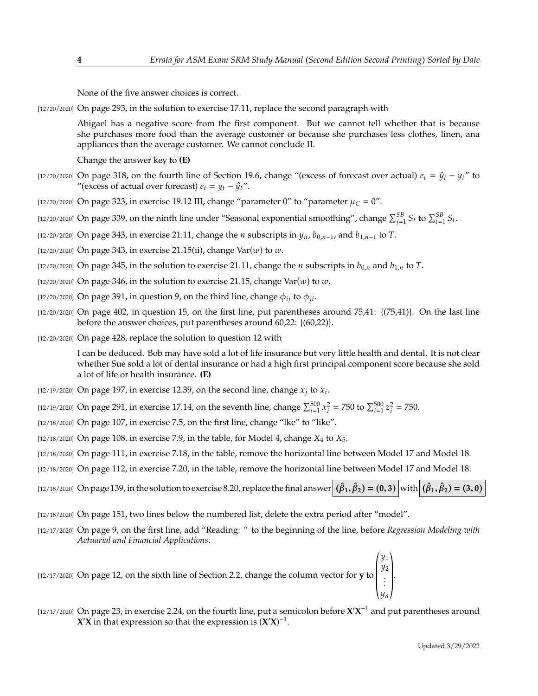None of the five answer choices is correct.

[12/20/2020] On page 293, in the solution to exercise 17.11, replace the second paragraph with

Abigael has a negative score from the first component. But we cannot tell whether that is because she purchases more food than the average customer or because she purchases less clothes, linen, ana appliances than the average customer. We cannot conclude II.

Change the answer key to **(E)**

- [12/20/2020] On page 318, on the fourth line of Section 19.6, change "(excess of forecast over actual)  $e_t = \hat{y}_t y_t$ " to "(excess of actual over forecast)  $e_t = y_t - \hat{y}_t$ ".
- [12/20/2020] On page 323, in exercise 19.12 III, change "parameter 0" to "parameter  $\mu_C = 0$ ".
- [12/20/2020] On page 339, on the ninth line under "Seasonal exponential smoothing", change  $\sum_{j=1}^{5B} S_t$  to  $\sum_{t=1}^{5B} S_t$ .
- [12/20/2020] On page 343, in exercise 21.11, change the *n* subscripts in  $y_n$ ,  $b_{0,n-1}$ , and  $b_{1,n-1}$  to T.
- [12/20/2020] On page 343, in exercise 21.15(ii), change  $Var(w)$  to  $w$ .
- [12/20/2020] On page 345, in the solution to exercise 21.11, change the *n* subscripts in  $b_{0,n}$  and  $b_{1,n}$  to T.
- $[12/20/2020]$  On page 346, in the solution to exercise 21.15, change Var(w) to w.
- [12/20/2020] On page 391, in question 9, on the third line, change  $\phi_{ii}$  to  $\phi_{ii}$ .
- $[12/20/2020]$  On page 402, in question 15, on the first line, put parentheses around 75,41:  $\{(75,41)\}$ . On the last line before the answer choices, put parentheses around 60,22: {(60,22)}.
- [12/20/2020] On page 428, replace the solution to question 12 with

I can be deduced. Bob may have sold a lot of life insurance but very little health and dental. It is not clear whether Sue sold a lot of dental insurance or had a high first principal component score because she sold a lot of life or health insurance. **(E)**

- [12/19/2020] On page 197, in exercise 12.39, on the second line, change  $x_j$  to  $x_i$ .
- [12/19/2020] On page 291, in exercise 17.14, on the seventh line, change  $\sum_{i=1}^{500}$  x  $\sum_{i=1}^{2}$  = 750 to  $\sum_{i=1}^{500} z$ 2  $= 750.$
- [12/18/2020] On page 107, in exercise 7.5, on the first line, change "lke" to "like".
- [12/18/2020] On page 108, in exercise 7.9, in the table, for Model 4, change  $X_4$  to  $X_5$ .
- [12/18/2020] On page 111, in exercise 7.18, in the table, remove the horizontal line between Model 17 and Model 18.
- [12/18/2020] On page 112, in exercise 7.20, in the table, remove the horizontal line between Model 17 and Model 18.
- $\text{(12/18/2020)}$  On page 139, in the solution to exercise 8.20, replace the final answer  $(\hat{\beta}_1, \hat{\beta}_2) = (0, 3)$  with  $(\hat{\beta}_1, \hat{\beta}_2) = (3, 0)$
- [12/18/2020] On page 151, two lines below the numbered list, delete the extra period after "model".
- [12/17/2020] On page 9, on the first line, add "Reading: " to the beginning of the line, before *Regression Modeling with Actuarial and Financial Applications*.

[12/17/2020] On page 12, on the sixth line of Section 2.2, change the column vector for **y** to  $\overline{\ }$ y1<br>110 y2<br>. . . .  $\overline{\phantom{a}}$  $\begin{bmatrix} \frac{1}{2} & \frac{1}{2} \\ \frac{1}{2} & \frac{1}{2} \\ \frac{1}{2} & \frac{1}{2} \end{bmatrix}$ 

« ¬  $[12/17/2020]$  On page 23, in exercise 2.24, on the fourth line, put a semicolon before  $X'X^{-1}$  and put parentheses around *X***<sup>** $\mathbf{\hat{X}}$  **in that expression so that the expression is**  $(\mathbf{\hat{X}}'\mathbf{\hat{X}})^{-1}$ **.**</sup>

.